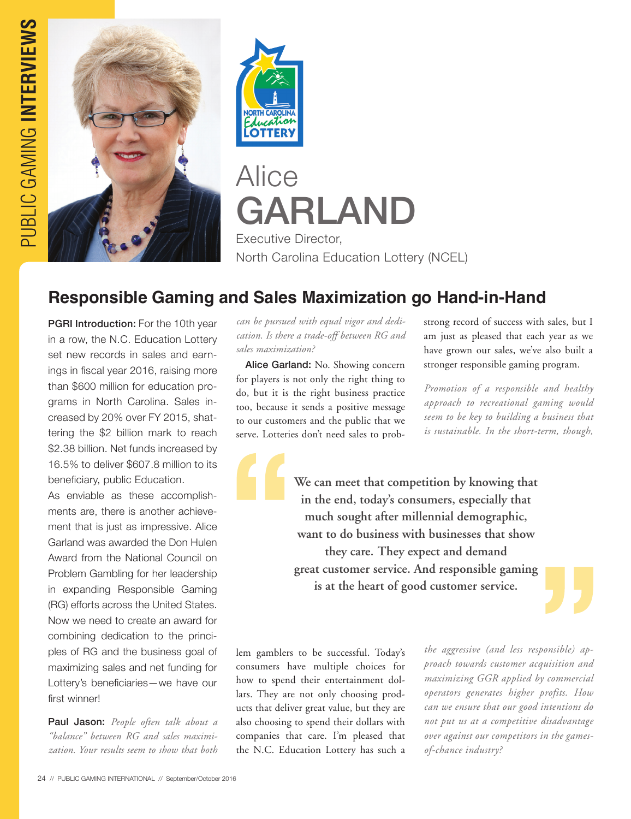



## Alice GARLAND Executive Director,

North Carolina Education Lottery (NCEL)

## **Responsible Gaming and Sales Maximization go Hand-in-Hand**

PGRI Introduction: For the 10th year in a row, the N.C. Education Lottery set new records in sales and earnings in fiscal year 2016, raising more than \$600 million for education programs in North Carolina. Sales increased by 20% over FY 2015, shattering the \$2 billion mark to reach \$2.38 billion. Net funds increased by 16.5% to deliver \$607.8 million to its beneficiary, public Education.

As enviable as these accomplishments are, there is another achievement that is just as impressive. Alice Garland was awarded the Don Hulen Award from the National Council on Problem Gambling for her leadership in expanding Responsible Gaming (RG) efforts across the United States. Now we need to create an award for combining dedication to the principles of RG and the business goal of maximizing sales and net funding for Lottery's beneficiaries—we have our first winner!

Paul Jason: *People often talk about a "balance" between RG and sales maximization. Your results seem to show that both*  *can be pursued with equal vigor and dedication. Is there a trade-off between RG and sales maximization?*

Alice Garland: No. Showing concern for players is not only the right thing to do, but it is the right business practice too, because it sends a positive message to our customers and the public that we serve. Lotteries don't need sales to probstrong record of success with sales, but I am just as pleased that each year as we have grown our sales, we've also built a stronger responsible gaming program.

*Promotion of a responsible and healthy approach to recreational gaming would seem to be key to building a business that is sustainable. In the short-term, though,* 

**We can meet that competition by knowing that in the end, today's consumers, especially that much sought after millennial demographic, want to do business with businesses that show they care. They expect and demand great customer service. And responsible gaming is at the heart of good customer service.**

lem gamblers to be successful. Today's consumers have multiple choices for how to spend their entertainment dollars. They are not only choosing products that deliver great value, but they are also choosing to spend their dollars with companies that care. I'm pleased that the N.C. Education Lottery has such a

*the aggressive (and less responsible) approach towards customer acquisition and maximizing GGR applied by commercial operators generates higher profits. How can we ensure that our good intentions do not put us at a competitive disadvantage over against our competitors in the gamesof-chance industry?*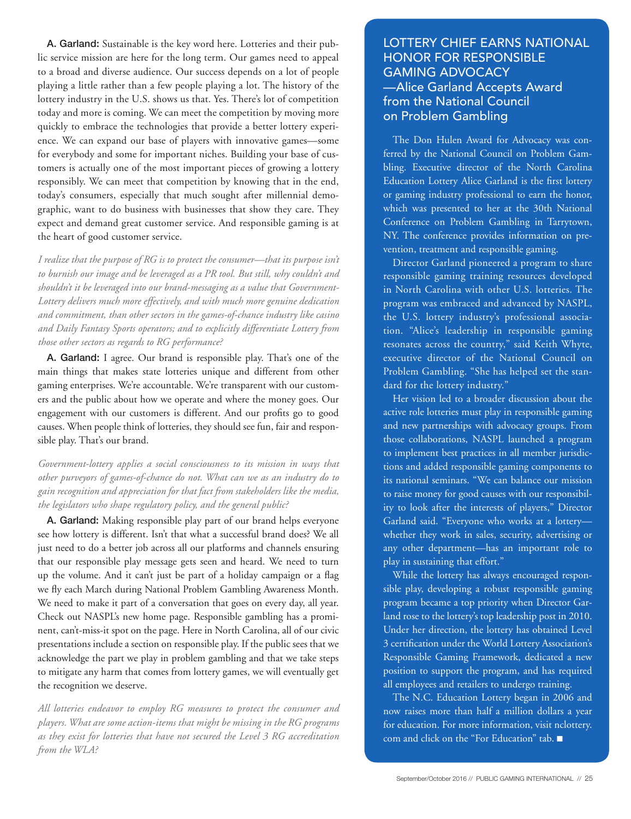A. Garland: Sustainable is the key word here. Lotteries and their public service mission are here for the long term. Our games need to appeal to a broad and diverse audience. Our success depends on a lot of people playing a little rather than a few people playing a lot. The history of the lottery industry in the U.S. shows us that. Yes. There's lot of competition today and more is coming. We can meet the competition by moving more quickly to embrace the technologies that provide a better lottery experience. We can expand our base of players with innovative games—some for everybody and some for important niches. Building your base of customers is actually one of the most important pieces of growing a lottery responsibly. We can meet that competition by knowing that in the end, today's consumers, especially that much sought after millennial demographic, want to do business with businesses that show they care. They expect and demand great customer service. And responsible gaming is at the heart of good customer service.

*I realize that the purpose of RG is to protect the consumer—that its purpose isn't to burnish our image and be leveraged as a PR tool. But still, why couldn't and shouldn't it be leveraged into our brand-messaging as a value that Government-Lottery delivers much more effectively, and with much more genuine dedication and commitment, than other sectors in the games-of-chance industry like casino and Daily Fantasy Sports operators; and to explicitly differentiate Lottery from those other sectors as regards to RG performance?*

A. Garland: I agree. Our brand is responsible play. That's one of the main things that makes state lotteries unique and different from other gaming enterprises. We're accountable. We're transparent with our customers and the public about how we operate and where the money goes. Our engagement with our customers is different. And our profits go to good causes. When people think of lotteries, they should see fun, fair and responsible play. That's our brand.

*Government-lottery applies a social consciousness to its mission in ways that other purveyors of games-of-chance do not. What can we as an industry do to gain recognition and appreciation for that fact from stakeholders like the media, the legislators who shape regulatory policy, and the general public?*

A. Garland: Making responsible play part of our brand helps everyone see how lottery is different. Isn't that what a successful brand does? We all just need to do a better job across all our platforms and channels ensuring that our responsible play message gets seen and heard. We need to turn up the volume. And it can't just be part of a holiday campaign or a flag we fly each March during National Problem Gambling Awareness Month. We need to make it part of a conversation that goes on every day, all year. Check out NASPL's new home page. Responsible gambling has a prominent, can't-miss-it spot on the page. Here in North Carolina, all of our civic presentations include a section on responsible play. If the public sees that we acknowledge the part we play in problem gambling and that we take steps to mitigate any harm that comes from lottery games, we will eventually get the recognition we deserve.

*All lotteries endeavor to employ RG measures to protect the consumer and players. What are some action-items that might be missing in the RG programs as they exist for lotteries that have not secured the Level 3 RG accreditation from the WLA?*

## LOTTERY CHIEF EARNS NATIONAL HONOR FOR RESPONSIBLE GAMING ADVOCACY —Alice Garland Accepts Award from the National Council on Problem Gambling

The Don Hulen Award for Advocacy was conferred by the National Council on Problem Gambling. Executive director of the North Carolina Education Lottery Alice Garland is the first lottery or gaming industry professional to earn the honor, which was presented to her at the 30th National Conference on Problem Gambling in Tarrytown, NY. The conference provides information on prevention, treatment and responsible gaming.

Director Garland pioneered a program to share responsible gaming training resources developed in North Carolina with other U.S. lotteries. The program was embraced and advanced by NASPL, the U.S. lottery industry's professional association. "Alice's leadership in responsible gaming resonates across the country," said Keith Whyte, executive director of the National Council on Problem Gambling. "She has helped set the standard for the lottery industry."

Her vision led to a broader discussion about the active role lotteries must play in responsible gaming and new partnerships with advocacy groups. From those collaborations, NASPL launched a program to implement best practices in all member jurisdictions and added responsible gaming components to its national seminars. "We can balance our mission to raise money for good causes with our responsibility to look after the interests of players," Director Garland said. "Everyone who works at a lottery whether they work in sales, security, advertising or any other department—has an important role to play in sustaining that effort."

While the lottery has always encouraged responsible play, developing a robust responsible gaming program became a top priority when Director Garland rose to the lottery's top leadership post in 2010. Under her direction, the lottery has obtained Level 3 certification under the World Lottery Association's Responsible Gaming Framework, dedicated a new position to support the program, and has required all employees and retailers to undergo training.

The N.C. Education Lottery began in 2006 and now raises more than half a million dollars a year for education. For more information, visit nclottery. com and click on the "For Education" tab. ■